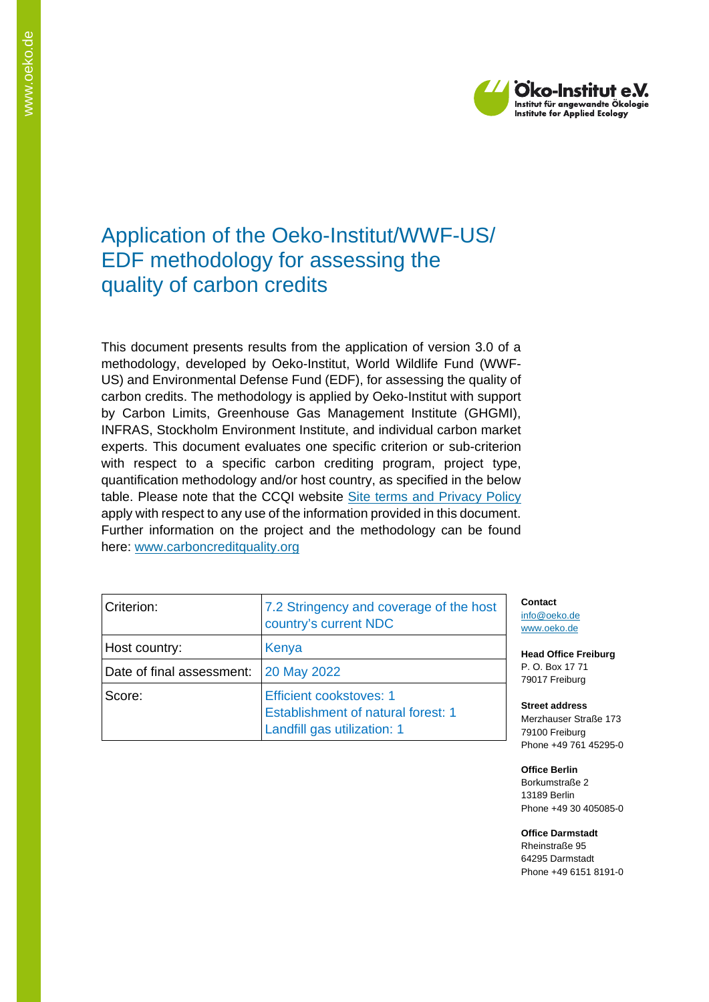

# Application of the Oeko-Institut/WWF-US/ EDF methodology for assessing the quality of carbon credits

This document presents results from the application of version 3.0 of a methodology, developed by Oeko-Institut, World Wildlife Fund (WWF-US) and Environmental Defense Fund (EDF), for assessing the quality of carbon credits. The methodology is applied by Oeko-Institut with support by Carbon Limits, Greenhouse Gas Management Institute (GHGMI), INFRAS, Stockholm Environment Institute, and individual carbon market experts. This document evaluates one specific criterion or sub-criterion with respect to a specific carbon crediting program, project type, quantification methodology and/or host country, as specified in the below table. Please note that the CCQI website [Site terms and Privacy Policy](https://carboncreditquality.org/terms.html) apply with respect to any use of the information provided in this document. Further information on the project and the methodology can be found here: [www.carboncreditquality.org](http://www.carboncreditquality.org/)

| Criterion:                | 7.2 Stringency and coverage of the host<br>country's current NDC                                           |
|---------------------------|------------------------------------------------------------------------------------------------------------|
| Host country:             | Kenya                                                                                                      |
| Date of final assessment: | <b>20 May 2022</b>                                                                                         |
| Score:                    | <b>Efficient cookstoves: 1</b><br><b>Establishment of natural forest: 1</b><br>Landfill gas utilization: 1 |

**Contact** [info@oeko.de](mailto:info@oeko.de) [www.oeko.de](http://www.oeko.de/)

**Head Office Freiburg** P. O. Box 17 71 79017 Freiburg

**Street address** Merzhauser Straße 173 79100 Freiburg Phone +49 761 45295-0

**Office Berlin** Borkumstraße 2 13189 Berlin Phone +49 30 405085-0

**Office Darmstadt** Rheinstraße 95 64295 Darmstadt Phone +49 6151 8191-0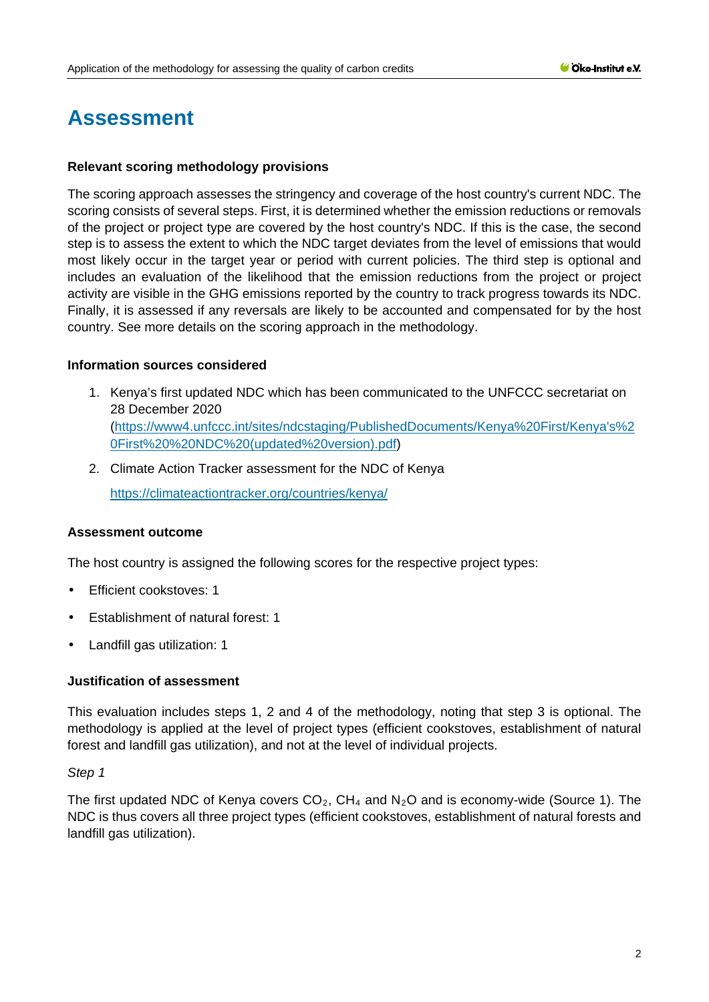# **Assessment**

#### **Relevant scoring methodology provisions**

The scoring approach assesses the stringency and coverage of the host country's current NDC. The scoring consists of several steps. First, it is determined whether the emission reductions or removals of the project or project type are covered by the host country's NDC. If this is the case, the second step is to assess the extent to which the NDC target deviates from the level of emissions that would most likely occur in the target year or period with current policies. The third step is optional and includes an evaluation of the likelihood that the emission reductions from the project or project activity are visible in the GHG emissions reported by the country to track progress towards its NDC. Finally, it is assessed if any reversals are likely to be accounted and compensated for by the host country. See more details on the scoring approach in the methodology.

#### **Information sources considered**

- 1. Kenya's first updated NDC which has been communicated to the UNFCCC secretariat on 28 December 2020 [\(https://www4.unfccc.int/sites/ndcstaging/PublishedDocuments/Kenya%20First/Kenya's%2](https://www4.unfccc.int/sites/ndcstaging/PublishedDocuments/Kenya%20First/Kenya) [0First%20%20NDC%20\(updated%20version\).pdf\)](https://www4.unfccc.int/sites/ndcstaging/PublishedDocuments/Kenya%20First/Kenya)
- 2. Climate Action Tracker assessment for the NDC of Kenya

<https://climateactiontracker.org/countries/kenya/>

### **Assessment outcome**

The host country is assigned the following scores for the respective project types:

- Efficient cookstoves: 1
- Establishment of natural forest: 1
- Landfill gas utilization: 1

### **Justification of assessment**

This evaluation includes steps 1, 2 and 4 of the methodology, noting that step 3 is optional. The methodology is applied at the level of project types (efficient cookstoves, establishment of natural forest and landfill gas utilization), and not at the level of individual projects.

#### *Step 1*

The first updated NDC of Kenya covers  $CO<sub>2</sub>$ , CH<sub>4</sub> and N<sub>2</sub>O and is economy-wide (Source 1). The NDC is thus covers all three project types (efficient cookstoves, establishment of natural forests and landfill gas utilization).